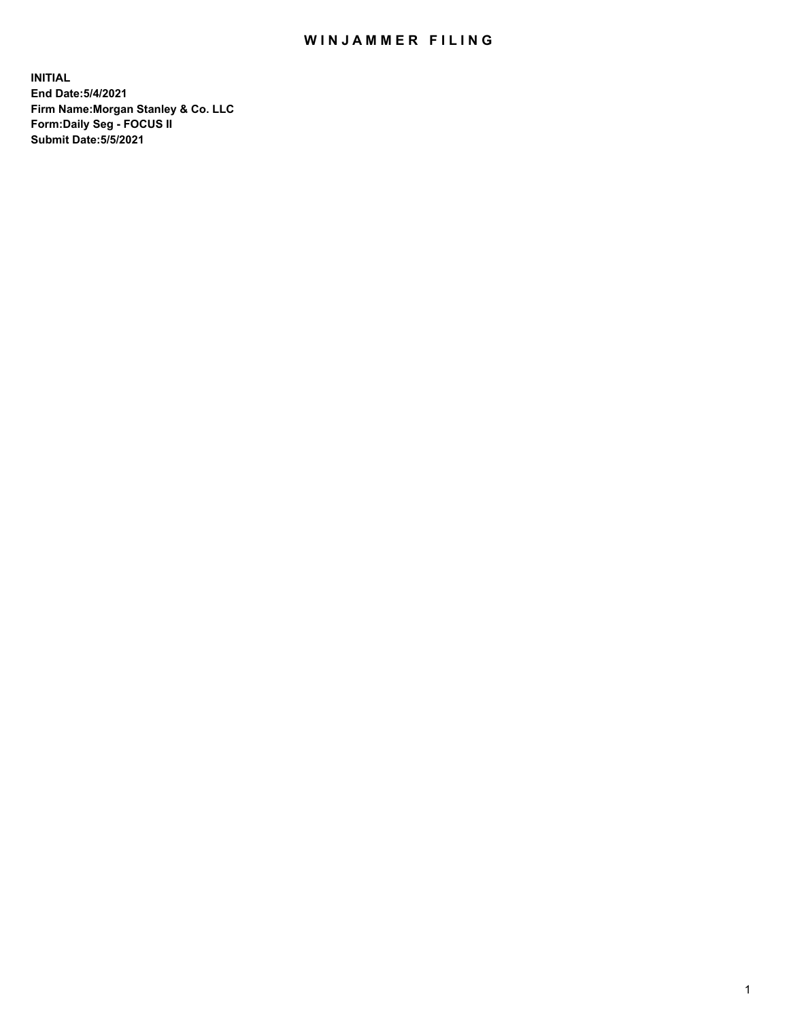## WIN JAMMER FILING

**INITIAL End Date:5/4/2021 Firm Name:Morgan Stanley & Co. LLC Form:Daily Seg - FOCUS II Submit Date:5/5/2021**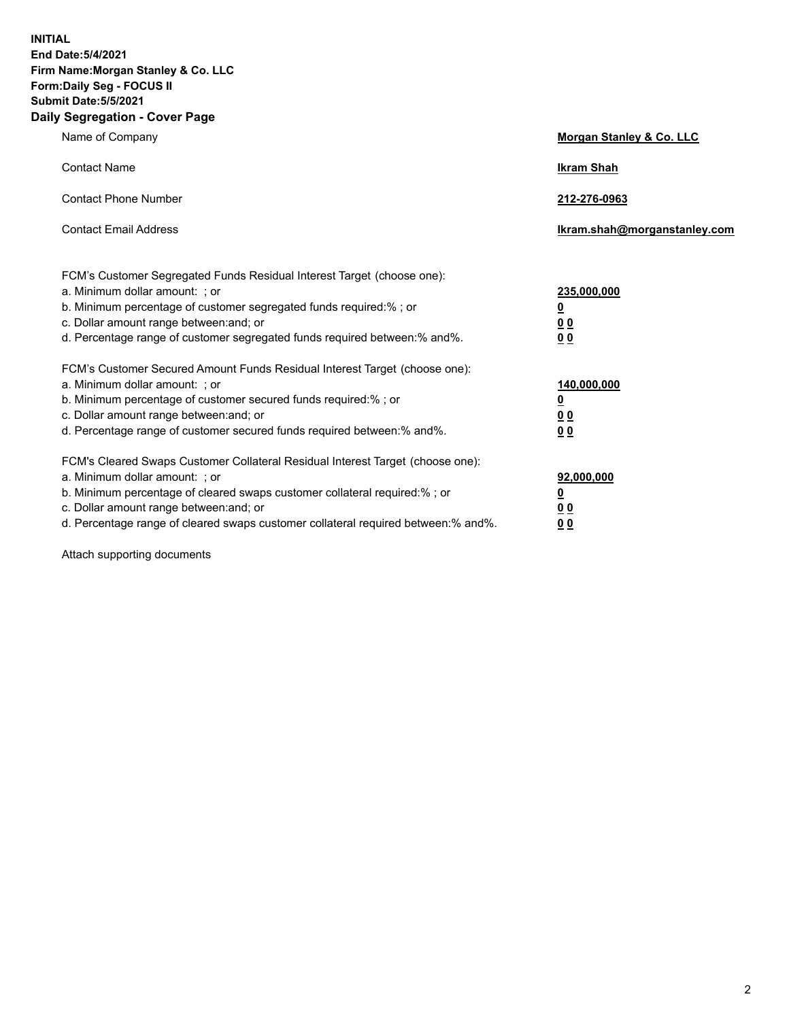**INITIAL End Date:5/4/2021 Firm Name:Morgan Stanley & Co. LLC Form:Daily Seg - FOCUS II Submit Date:5/5/2021 Daily Segregation - Cover Page**

| Name of Company                                                                                                                                                                                                                                                                                                                | <b>Morgan Stanley &amp; Co. LLC</b>                        |
|--------------------------------------------------------------------------------------------------------------------------------------------------------------------------------------------------------------------------------------------------------------------------------------------------------------------------------|------------------------------------------------------------|
| <b>Contact Name</b>                                                                                                                                                                                                                                                                                                            | <b>Ikram Shah</b>                                          |
| <b>Contact Phone Number</b>                                                                                                                                                                                                                                                                                                    | 212-276-0963                                               |
| <b>Contact Email Address</b>                                                                                                                                                                                                                                                                                                   | Ikram.shah@morganstanley.com                               |
| FCM's Customer Segregated Funds Residual Interest Target (choose one):<br>a. Minimum dollar amount: ; or<br>b. Minimum percentage of customer segregated funds required:% ; or<br>c. Dollar amount range between: and; or<br>d. Percentage range of customer segregated funds required between: % and %.                       | 235,000,000<br><u>0</u><br><u>00</u><br>0 <sup>0</sup>     |
| FCM's Customer Secured Amount Funds Residual Interest Target (choose one):<br>a. Minimum dollar amount: ; or<br>b. Minimum percentage of customer secured funds required:%; or<br>c. Dollar amount range between: and; or<br>d. Percentage range of customer secured funds required between: % and %.                          | 140,000,000<br><u>0</u><br><u>00</u><br>0 <sup>0</sup>     |
| FCM's Cleared Swaps Customer Collateral Residual Interest Target (choose one):<br>a. Minimum dollar amount: ; or<br>b. Minimum percentage of cleared swaps customer collateral required:% ; or<br>c. Dollar amount range between: and; or<br>d. Percentage range of cleared swaps customer collateral required between:% and%. | 92,000,000<br><u>0</u><br>0 <sup>0</sup><br>0 <sub>0</sub> |

Attach supporting documents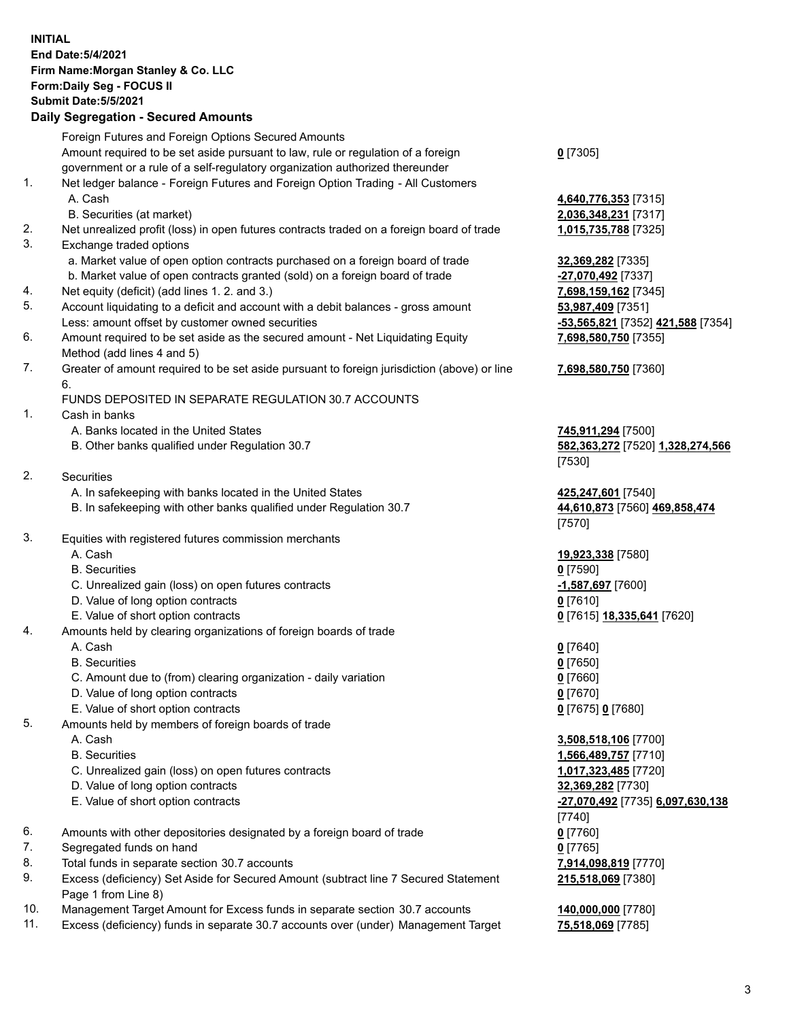## **INITIAL End Date:5/4/2021 Firm Name:Morgan Stanley & Co. LLC Form:Daily Seg - FOCUS II Submit Date:5/5/2021 Daily Segregation - Secured Amounts** Foreign Futures and Foreign Options Secured Amounts Amount required to be set aside pursuant to law, rule or regulation of a foreign government or a rule of a self-regulatory organization authorized thereunder **0** [7305] 1. Net ledger balance - Foreign Futures and Foreign Option Trading - All Customers A. Cash **4,640,776,353** [7315] B. Securities (at market) **2,036,348,231** [7317] 2. Net unrealized profit (loss) in open futures contracts traded on a foreign board of trade **1,015,735,788** [7325] 3. Exchange traded options a. Market value of open option contracts purchased on a foreign board of trade **32,369,282** [7335] b. Market value of open contracts granted (sold) on a foreign board of trade **-27,070,492** [7337] 4. Net equity (deficit) (add lines 1. 2. and 3.) **7,698,159,162** [7345] 5. Account liquidating to a deficit and account with a debit balances - gross amount **53,987,409** [7351] Less: amount offset by customer owned securities **-53,565,821** [7352] **421,588** [7354] 6. Amount required to be set aside as the secured amount - Net Liquidating Equity Method (add lines 4 and 5) **7,698,580,750** [7355] 7. Greater of amount required to be set aside pursuant to foreign jurisdiction (above) or line 6. **7,698,580,750** [7360] FUNDS DEPOSITED IN SEPARATE REGULATION 30.7 ACCOUNTS 1. Cash in banks A. Banks located in the United States **745,911,294** [7500] B. Other banks qualified under Regulation 30.7 **582,363,272** [7520] **1,328,274,566** [7530] 2. Securities A. In safekeeping with banks located in the United States **425,247,601** [7540] B. In safekeeping with other banks qualified under Regulation 30.7 **44,610,873** [7560] **469,858,474** [7570] 3. Equities with registered futures commission merchants A. Cash **19,923,338** [7580] B. Securities **0** [7590] C. Unrealized gain (loss) on open futures contracts **-1,587,697** [7600] D. Value of long option contracts **0** [7610] E. Value of short option contracts **0** [7615] **18,335,641** [7620] 4. Amounts held by clearing organizations of foreign boards of trade A. Cash **0** [7640] B. Securities **0** [7650] C. Amount due to (from) clearing organization - daily variation **0** [7660] D. Value of long option contracts **0** [7670] E. Value of short option contracts **0** [7675] **0** [7680] 5. Amounts held by members of foreign boards of trade A. Cash **3,508,518,106** [7700] B. Securities **1,566,489,757** [7710] C. Unrealized gain (loss) on open futures contracts **1,017,323,485** [7720] D. Value of long option contracts **32,369,282** [7730] E. Value of short option contracts **-27,070,492** [7735] **6,097,630,138** [7740] 6. Amounts with other depositories designated by a foreign board of trade **0** [7760] 7. Segregated funds on hand **0** [7765] 8. Total funds in separate section 30.7 accounts **7,914,098,819** [7770] 9. Excess (deficiency) Set Aside for Secured Amount (subtract line 7 Secured Statement Page 1 from Line 8) **215,518,069** [7380] 10. Management Target Amount for Excess funds in separate section 30.7 accounts **140,000,000** [7780]

11. Excess (deficiency) funds in separate 30.7 accounts over (under) Management Target **75,518,069** [7785]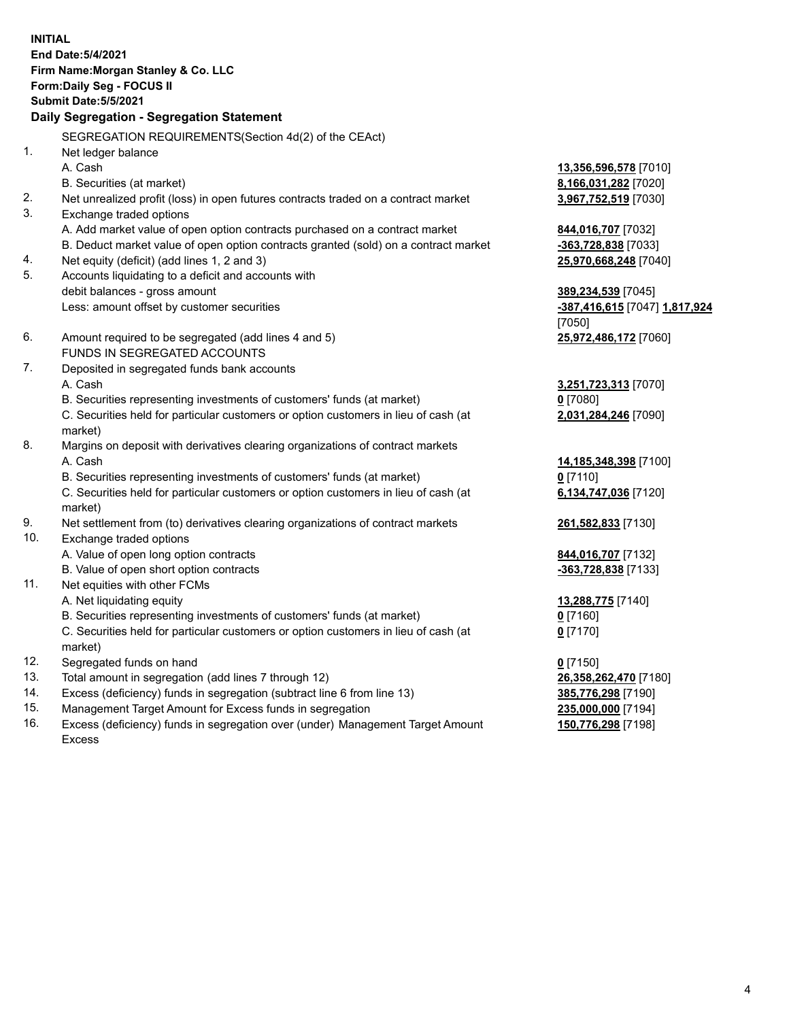|            | <b>INITIAL</b><br>End Date: 5/4/2021<br>Firm Name: Morgan Stanley & Co. LLC<br>Form: Daily Seg - FOCUS II<br><b>Submit Date: 5/5/2021</b><br>Daily Segregation - Segregation Statement |                                          |
|------------|----------------------------------------------------------------------------------------------------------------------------------------------------------------------------------------|------------------------------------------|
|            | SEGREGATION REQUIREMENTS(Section 4d(2) of the CEAct)                                                                                                                                   |                                          |
| 1.         | Net ledger balance                                                                                                                                                                     |                                          |
|            | A. Cash                                                                                                                                                                                | 13,356,596,578 [7010]                    |
|            | B. Securities (at market)                                                                                                                                                              | 8,166,031,282 [7020]                     |
| 2.         | Net unrealized profit (loss) in open futures contracts traded on a contract market                                                                                                     | 3,967,752,519 [7030]                     |
| 3.         | Exchange traded options                                                                                                                                                                |                                          |
|            | A. Add market value of open option contracts purchased on a contract market                                                                                                            | 844,016,707 [7032]                       |
|            | B. Deduct market value of open option contracts granted (sold) on a contract market                                                                                                    | -363,728,838 [7033]                      |
| 4.         | Net equity (deficit) (add lines 1, 2 and 3)                                                                                                                                            | 25,970,668,248 [7040]                    |
| 5.         | Accounts liquidating to a deficit and accounts with                                                                                                                                    |                                          |
|            | debit balances - gross amount                                                                                                                                                          | 389,234,539 [7045]                       |
|            | Less: amount offset by customer securities                                                                                                                                             | -387,416,615 [7047] 1,817,924            |
| 6.         | Amount required to be segregated (add lines 4 and 5)                                                                                                                                   | [7050]<br>25,972,486,172 [7060]          |
|            | FUNDS IN SEGREGATED ACCOUNTS                                                                                                                                                           |                                          |
| 7.         | Deposited in segregated funds bank accounts                                                                                                                                            |                                          |
|            | A. Cash                                                                                                                                                                                | 3,251,723,313 [7070]                     |
|            | B. Securities representing investments of customers' funds (at market)                                                                                                                 | $0$ [7080]                               |
|            | C. Securities held for particular customers or option customers in lieu of cash (at                                                                                                    | 2,031,284,246 [7090]                     |
|            | market)                                                                                                                                                                                |                                          |
| 8.         | Margins on deposit with derivatives clearing organizations of contract markets                                                                                                         |                                          |
|            | A. Cash                                                                                                                                                                                | 14,185,348,398 [7100]                    |
|            | B. Securities representing investments of customers' funds (at market)                                                                                                                 | $0$ [7110]                               |
|            | C. Securities held for particular customers or option customers in lieu of cash (at                                                                                                    | 6,134,747,036 [7120]                     |
|            | market)                                                                                                                                                                                |                                          |
| 9.         | Net settlement from (to) derivatives clearing organizations of contract markets                                                                                                        | 261,582,833 [7130]                       |
| 10.        | Exchange traded options                                                                                                                                                                |                                          |
|            | A. Value of open long option contracts                                                                                                                                                 | 844,016,707 [7132]                       |
|            | B. Value of open short option contracts                                                                                                                                                | -363,728,838 [7133]                      |
| 11.        | Net equities with other FCMs                                                                                                                                                           |                                          |
|            | A. Net liquidating equity                                                                                                                                                              | 13,288,775 [7140]                        |
|            | B. Securities representing investments of customers' funds (at market)                                                                                                                 | $0$ [7160]                               |
|            | C. Securities held for particular customers or option customers in lieu of cash (at                                                                                                    | $0$ [7170]                               |
|            | market)                                                                                                                                                                                |                                          |
| 12.<br>13. | Segregated funds on hand                                                                                                                                                               | $0$ [7150]                               |
| 14.        | Total amount in segregation (add lines 7 through 12)<br>Excess (deficiency) funds in segregation (subtract line 6 from line 13)                                                        | 26,358,262,470 [7180]                    |
| 15.        | Management Target Amount for Excess funds in segregation                                                                                                                               | 385,776,298 [7190]                       |
| 16.        | Excess (deficiency) funds in segregation over (under) Management Target Amount                                                                                                         | 235,000,000 [7194]<br>150,776,298 [7198] |
|            |                                                                                                                                                                                        |                                          |

16. Excess (deficiency) funds in segregation over (under) Management Target Amount Excess